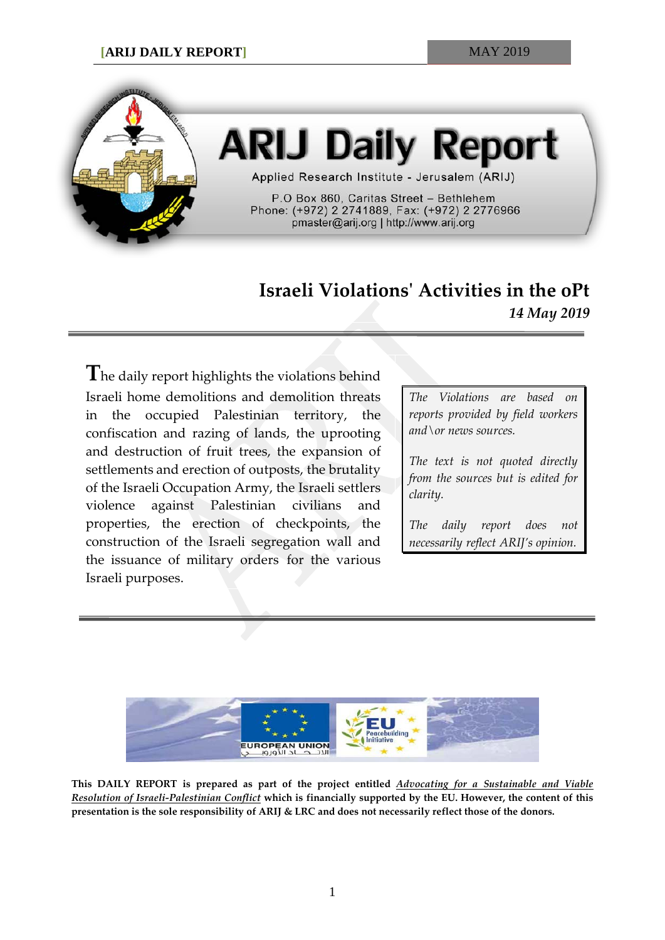

# **ARIJ Daily Report**

Applied Research Institute - Jerusalem (ARIJ)

P.O Box 860, Caritas Street - Bethlehem Phone: (+972) 2 2741889, Fax: (+972) 2 2776966 pmaster@arij.org | http://www.arij.org

## **Israeli Violations' Activities in the oPt** *14 May 2019*

**T**he daily report highlights the violations behind Israeli home demolitions and demolition threats in the occupied Palestinian territory, the confiscation and razing of lands, the uprooting and destruction of fruit trees, the expansion of settlements and erection of outposts, the brutality of the Israeli Occupation Army, the Israeli settlers violence against Palestinian civilians and properties, the erection of checkpoints, the construction of the Israeli segregation wall and the issuance of military orders for the various Israeli purposes.

*The Violations are based on reports provided by field workers and\or news sources.*

*The text is not quoted directly from the sources but is edited for clarity.*

*The daily report does not necessarily reflect ARIJ's opinion.*



**This DAILY REPORT is prepared as part of the project entitled** *Advocating for a Sustainable and Viable Resolution of Israeli-Palestinian Conflict* **which is financially supported by the EU. However, the content of this presentation is the sole responsibility of ARIJ & LRC and does not necessarily reflect those of the donors.**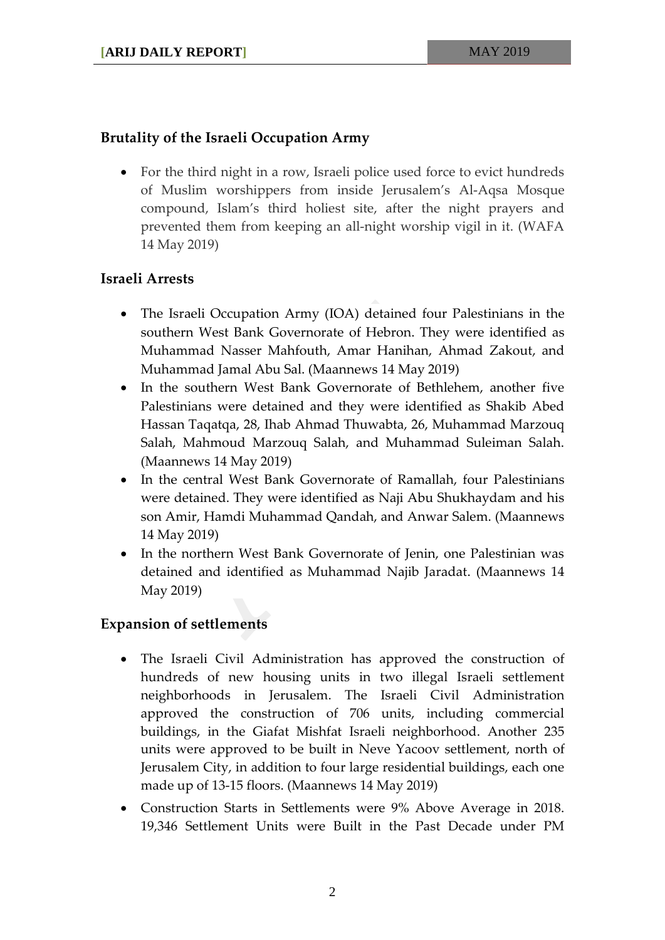### **Brutality of the Israeli Occupation Army**

• For the third night in a row, Israeli police used force to evict hundreds of Muslim worshippers from inside Jerusalem's Al-Aqsa Mosque compound, Islam's third holiest site, after the night prayers and prevented them from keeping an all-night worship vigil in it. (WAFA 14 May 2019)

#### **Israeli Arrests**

- The Israeli Occupation Army (IOA) detained four Palestinians in the southern West Bank Governorate of Hebron. They were identified as Muhammad Nasser Mahfouth, Amar Hanihan, Ahmad Zakout, and Muhammad Jamal Abu Sal. (Maannews 14 May 2019)
- In the southern West Bank Governorate of Bethlehem, another five Palestinians were detained and they were identified as Shakib Abed Hassan Taqatqa, 28, Ihab Ahmad Thuwabta, 26, Muhammad Marzouq Salah, Mahmoud Marzouq Salah, and Muhammad Suleiman Salah. (Maannews 14 May 2019)
- In the central West Bank Governorate of Ramallah, four Palestinians were detained. They were identified as Naji Abu Shukhaydam and his son Amir, Hamdi Muhammad Qandah, and Anwar Salem. (Maannews 14 May 2019)
- In the northern West Bank Governorate of Jenin, one Palestinian was detained and identified as Muhammad Najib Jaradat. (Maannews 14 May 2019)

#### **Expansion of settlements**

- The Israeli Civil Administration has approved the construction of hundreds of new housing units in two illegal Israeli settlement neighborhoods in Jerusalem. The Israeli Civil Administration approved the construction of 706 units, including commercial buildings, in the Giafat Mishfat Israeli neighborhood. Another 235 units were approved to be built in Neve Yacoov settlement, north of Jerusalem City, in addition to four large residential buildings, each one made up of 13-15 floors. (Maannews 14 May 2019)
- Construction Starts in Settlements were 9% Above Average in 2018. 19,346 Settlement Units were Built in the Past Decade under PM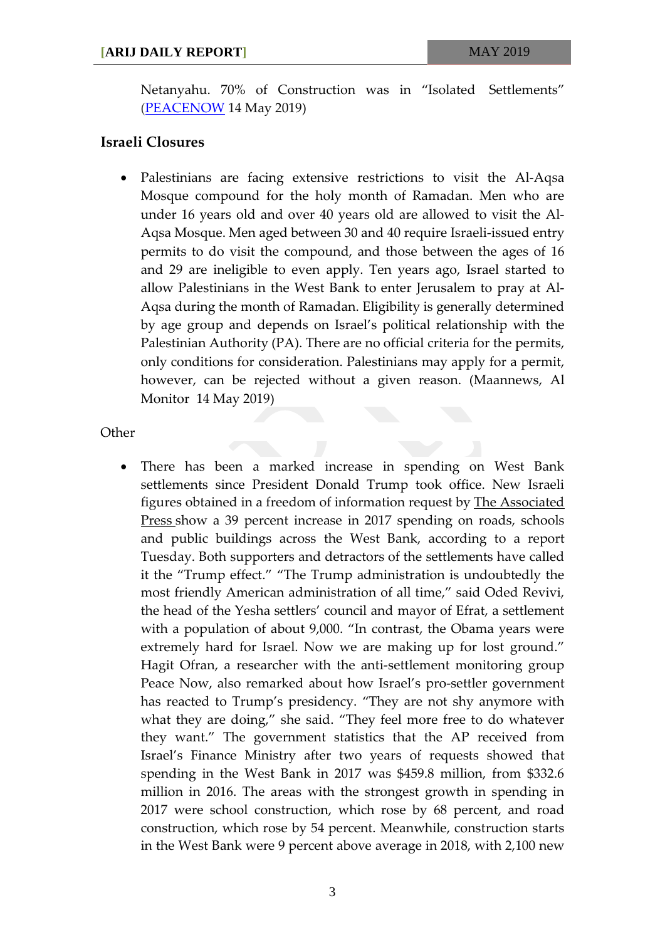Netanyahu. 70% of Construction was in "Isolated Settlements" [\(PEACENOW](https://peacenow.org.il/en/annual-settlement-report-2018) 14 May 2019)

#### **Israeli Closures**

• Palestinians are facing extensive restrictions to visit the Al-Aqsa Mosque compound for the holy month of Ramadan. Men who are under 16 years old and over 40 years old are allowed to visit the Al-Aqsa Mosque. Men aged between 30 and 40 require Israeli-issued entry permits to do visit the compound, and those between the ages of 16 and 29 are ineligible to even apply. Ten years ago, Israel started to allow Palestinians in the West Bank to enter Jerusalem to pray at Al-Aqsa during the month of Ramadan. Eligibility is generally determined by age group and depends on Israel's political relationship with the Palestinian Authority (PA). There are no official criteria for the permits, only conditions for consideration. Palestinians may apply for a permit, however, can be rejected without a given reason. (Maannews, Al Monitor 14 May 2019)

**Other** 

• There has been a marked increase in spending on West Bank settlements since President Donald Trump took office. New Israeli figures obtained in a freedom of information request by [The Associated](https://www.apnews.com/bcaac495333d4e5394b3518a9dc8cd42)  [Press](https://www.apnews.com/bcaac495333d4e5394b3518a9dc8cd42) show a 39 percent increase in 2017 spending on roads, schools and public buildings across the West Bank, according to a report Tuesday. Both supporters and detractors of the settlements have called it the "Trump effect." "The Trump administration is undoubtedly the most friendly American administration of all time," said Oded Revivi, the head of the Yesha settlers' council and mayor of Efrat, a settlement with a population of about 9,000. "In contrast, the Obama years were extremely hard for Israel. Now we are making up for lost ground." Hagit Ofran, a researcher with the anti-settlement monitoring group Peace Now, also remarked about how Israel's pro-settler government has reacted to Trump's presidency. "They are not shy anymore with what they are doing," she said. "They feel more free to do whatever they want." The government statistics that the AP received from Israel's Finance Ministry after two years of requests showed that spending in the West Bank in 2017 was \$459.8 million, from \$332.6 million in 2016. The areas with the strongest growth in spending in 2017 were school construction, which rose by 68 percent, and road construction, which rose by 54 percent. Meanwhile, construction starts in the West Bank were 9 percent above average in 2018, with 2,100 new